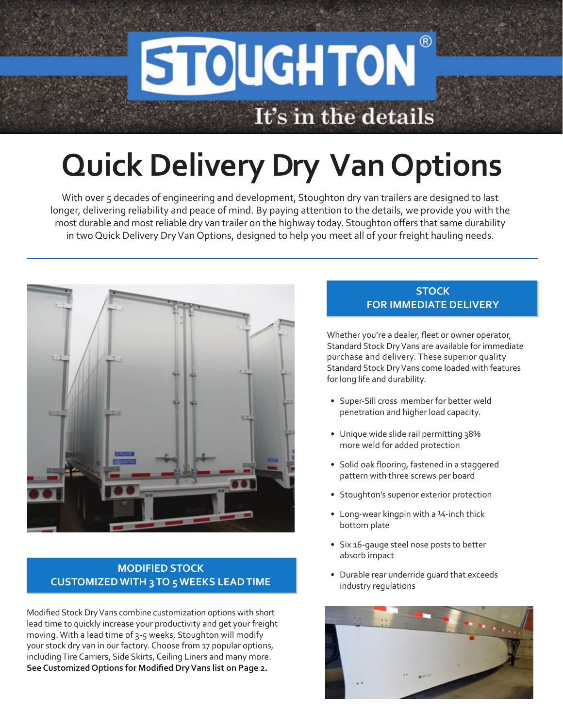## $\circledR$ **STOUGHTON** It's in the details

# **Quick Delivery Dry Van Options**

With over 5 decades of engineering and development, Stoughton dry van trailers are designed to last longer, delivering reliability and peace of mind. By paying attention to the details, we provide you with the most durable and most reliable dry van trailer on the highway today. Stoughton offers that same durability in two Quick Delivery Dry Van Options, designed to help you meet all of your freight hauling needs.



#### **MODIFIED STOCK CUSTOMIZED WITH 3 TO 5 WEEKS LEAD TIME**

Modified Stock Dry Vans combine customization options with short lead time to quickly increase your productivity and get your freight moving. With a lead time of 3-5 weeks, Stoughton will modify your stock dry van in our factory. Choose from 17 popular options, including Tire Carriers, Side Skirts, Ceiling Liners and many more. **See Customized Options for Modified Dry Vans list on Page 2.**

#### **STOCK FOR IMMEDIATE DELIVERY**

Whether you're a dealer, fleet or owner operator, Standard Stock Dry Vans are available for immediate purchase and delivery. These superior quality Standard Stock Dry Vans come loaded with features for long life and durability.

- Super-Sill cross member for better weld penetration and higher load capacity.
- Unique wide slide rail permitting 38% more weld for added protection
- Solid oak flooring, fastened in a staggered pattern with three screws per board
- Stoughton's superior exterior protection
- Long-wear kingpin with a 1/4-inch thick bottom plate
- Six 16-gauge steel nose posts to better absorb impact
- Durable rear underride guard that exceeds industry regulations